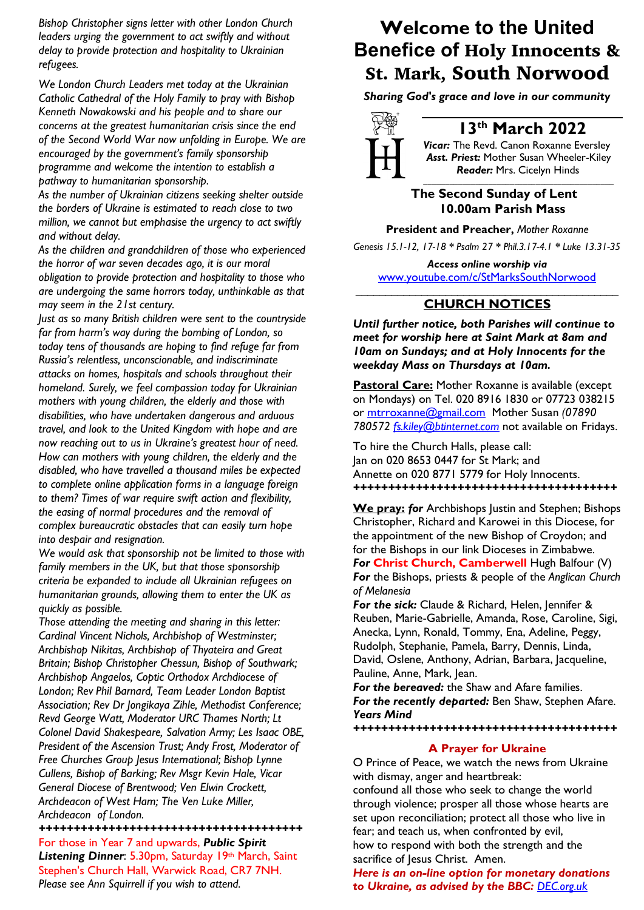*Bishop Christopher signs letter with other London Church leaders urging the government to act swiftly and without delay to provide protection and hospitality to Ukrainian refugees.*

*We London Church Leaders met today at the Ukrainian Catholic Cathedral of the Holy Family to pray with Bishop Kenneth Nowakowski and his people and to share our concerns at the greatest humanitarian crisis since the end of the Second World War now unfolding in Europe. We are encouraged by the government's family sponsorship programme and welcome the intention to establish a pathway to humanitarian sponsorship.*

*As the number of Ukrainian citizens seeking shelter outside the borders of Ukraine is estimated to reach close to two million, we cannot but emphasise the urgency to act swiftly and without delay.*

*As the children and grandchildren of those who experienced the horror of war seven decades ago, it is our moral obligation to provide protection and hospitality to those who are undergoing the same horrors today, unthinkable as that may seem in the 21st century.*

*Just as so many British children were sent to the countryside far from harm's way during the bombing of London, so today tens of thousands are hoping to find refuge far from Russia's relentless, unconscionable, and indiscriminate attacks on homes, hospitals and schools throughout their homeland. Surely, we feel compassion today for Ukrainian mothers with young children, the elderly and those with disabilities, who have undertaken dangerous and arduous travel, and look to the United Kingdom with hope and are now reaching out to us in Ukraine's greatest hour of need. How can mothers with young children, the elderly and the disabled, who have travelled a thousand miles be expected to complete online application forms in a language foreign to them? Times of war require swift action and flexibility, the easing of normal procedures and the removal of complex bureaucratic obstacles that can easily turn hope into despair and resignation.*

*We would ask that sponsorship not be limited to those with family members in the UK, but that those sponsorship criteria be expanded to include all Ukrainian refugees on humanitarian grounds, allowing them to enter the UK as quickly as possible.*

*Those attending the meeting and sharing in this letter: Cardinal Vincent Nichols, Archbishop of Westminster; Archbishop Nikitas, Archbishop of Thyateira and Great Britain; Bishop Christopher Chessun, Bishop of Southwark; Archbishop Angaelos, Coptic Orthodox Archdiocese of London; Rev Phil Barnard, Team Leader London Baptist Association; Rev Dr Jongikaya Zihle, Methodist Conference; Revd George Watt, Moderator URC Thames North; Lt Colonel David Shakespeare, Salvation Army; Les Isaac OBE, President of the Ascension Trust; Andy Frost, Moderator of Free Churches Group Jesus International; Bishop Lynne Cullens, Bishop of Barking; Rev Msgr Kevin Hale, Vicar General Diocese of Brentwood; Ven Elwin Crockett, Archdeacon of West Ham; The Ven Luke Miller, Archdeacon of London.*

*++++++++++++++++++++++++++++++++++++++* For those in Year 7 and upwards, *Public Spirit* Listening Dinner: 5.30pm, Saturday 19th March, Saint Stephen's Church Hall, Warwick Road, CR7 7NH. *Please see Ann Squirrell if you wish to attend.*

# **Welcome to the United Benefice of** Holy Innocents & St. Mark, South Norwood

*Sharing God's grace and love in our community*



# **13th March 2022**

*Vicar:* The Revd. Canon Roxanne Eversley *Asst. Priest:* Mother Susan Wheeler-Kiley  *Reader:* Mrs. Cicelyn Hinds

*\_\_\_\_\_\_\_\_\_\_\_\_\_\_\_\_\_\_\_\_\_\_\_\_\_\_\_\_\_\_\_\_\_\_\_\_\_\_\_\_\_\_\_\_*

### **The Second Sunday of Lent 10.00am Parish Mass**

**President and Preacher,** *Mother Roxanne*

*Genesis 15.1-12, 17-18 \* Psalm 27 \* Phil.3.17-4.1 \* Luke 13.31-35*

*Access online worship via* www.youtube.com/c/StMarksSouthNorwood \_\_\_\_\_\_\_\_\_\_\_\_\_\_\_\_\_\_\_\_\_\_\_\_\_\_\_\_\_\_\_\_\_\_\_\_\_\_\_\_\_\_\_\_

## **CHURCH NOTICES**

*Until further notice, both Parishes will continue to meet for worship here at Saint Mark at 8am and 10am on Sundays; and at Holy Innocents for the weekday Mass on Thursdays at 10am.*

**Pastoral Care:** Mother Roxanne is available (except on Mondays) on Tel. 020 8916 1830 or 07723 038215 or mtrroxanne@gmail.com Mother Susan *(07890 780572 fs.kiley@btinternet.com* not available on Fridays.

To hire the Church Halls, please call: Jan on 020 8653 0447 for St Mark; and Annette on 020 8771 5779 for Holy Innocents. *++++++++++++++++++++++++++++++++++++++*

**We pray:** *for* Archbishops Justin and Stephen; Bishops Christopher, Richard and Karowei in this Diocese, for the appointment of the new Bishop of Croydon; and for the Bishops in our link Dioceses in Zimbabwe. **For Christ Church, Camberwell Hugh Balfour (V)** *For* the Bishops, priests & people of the *Anglican Church of Melanesia* 

*For the sick:* Claude & Richard, Helen, Jennifer & Reuben, Marie-Gabrielle, Amanda, Rose, Caroline, Sigi, Anecka, Lynn, Ronald, Tommy, Ena, Adeline, Peggy, Rudolph, Stephanie, Pamela, Barry, Dennis, Linda, David, Oslene, Anthony, Adrian, Barbara, Jacqueline, Pauline, Anne, Mark, Jean.

*For the bereaved:* the Shaw and Afare families. *For the recently departed:* Ben Shaw, Stephen Afare. *Years Mind*

*++++++++++++++++++++++++++++++++++++++*

#### **A Prayer for Ukraine**

O Prince of Peace, we watch the news from Ukraine with dismay, anger and heartbreak: confound all those who seek to change the world through violence; prosper all those whose hearts are set upon reconciliation; protect all those who live in fear; and teach us, when confronted by evil, how to respond with both the strength and the sacrifice of Jesus Christ. Amen.

*Here is an on-line option for monetary donations to Ukraine, as advised by the BBC: DEC.org.uk*